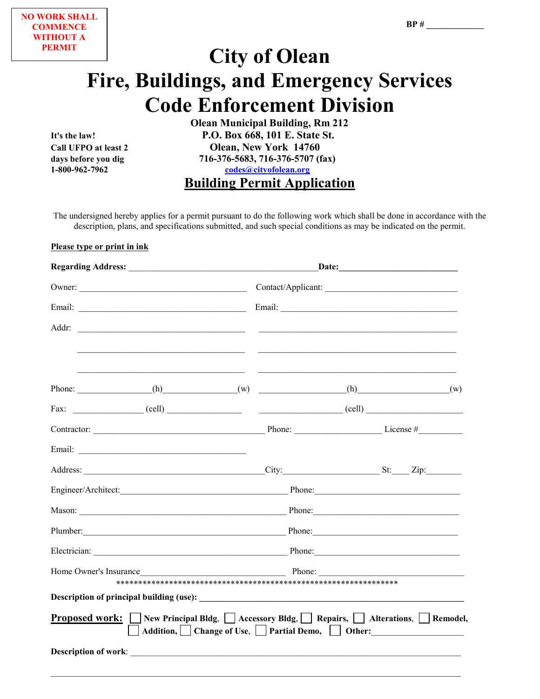# **City of Olean Fire, Buildings, and Emergency Services** Code Enforcement Division<br>
Olean Municipal Building, Rm 212

**It's the law! P.O. Box 668, 101 E. State St. Call UFPO at least 2 Olean, New York 14760** days before you dig **716-376-5683, 716-376-5707** (fax)<br>1-800-962-7962<br>codes@cityofolean.org **1-800-962-7962 [codes@cityofolean.org](mailto:codes@cityofolean.org)**

**Building Permit Application**

The undersigned hereby applies for a permit pursuant to do the following work which shall be done in accordance with the description, plans, and specifications submitted, and such special conditions as may be indicated on the permit.

#### **Please type or print in ink**

| Owner:                                    | Contact/Applicant:                                                                                                                                                                                                             |  |
|-------------------------------------------|--------------------------------------------------------------------------------------------------------------------------------------------------------------------------------------------------------------------------------|--|
|                                           |                                                                                                                                                                                                                                |  |
| Addr:                                     | <u> Alexandro de la contrada de la contrada de la contrada de la contrada de la contrada de la contrada de la co</u>                                                                                                           |  |
|                                           | Phone: ________________(h) _____________(w) ________________(h) _______________(w)                                                                                                                                             |  |
|                                           |                                                                                                                                                                                                                                |  |
|                                           |                                                                                                                                                                                                                                |  |
| Email: <u>International Communication</u> |                                                                                                                                                                                                                                |  |
|                                           |                                                                                                                                                                                                                                |  |
|                                           | Phone:                                                                                                                                                                                                                         |  |
|                                           |                                                                                                                                                                                                                                |  |
|                                           | Plumber: Phone: Phone: Phone: Phone: Phone: Phone: Phone: Phone: Phone: Phone: Phone: Phone: Phone: Phone: Phone: Phone: Phone: Phone: Phone: Phone: Phone: Phone: Phone: Phone: Phone: Phone: Phone: Phone: Phone: Phone: Pho |  |
|                                           |                                                                                                                                                                                                                                |  |
|                                           | Home Owner's Insurance Phone:                                                                                                                                                                                                  |  |
|                                           |                                                                                                                                                                                                                                |  |
|                                           | <b>Proposed work:</b> New Principal Bldg, $\Box$ Accessory Bldg, $\Box$ Repairs, $\Box$ Alterations, $\Box$ Remodel,<br>Addition, Change of Use, Sartial Demo, Sartial Other:                                                  |  |
|                                           |                                                                                                                                                                                                                                |  |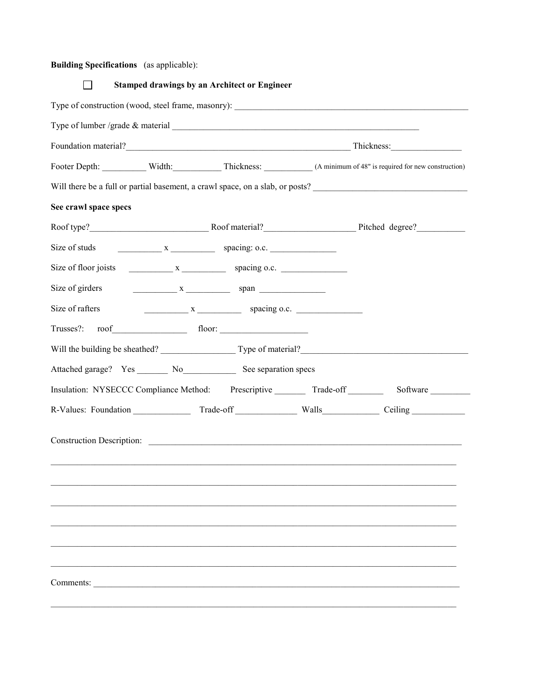### **Building Specifications** (as applicable):

|                       | <b>Stamped drawings by an Architect or Engineer</b>                              |                                                                                            |
|-----------------------|----------------------------------------------------------------------------------|--------------------------------------------------------------------------------------------|
|                       |                                                                                  |                                                                                            |
|                       |                                                                                  |                                                                                            |
|                       |                                                                                  |                                                                                            |
|                       |                                                                                  | Footer Depth: Width: Width: Thickness: (A minimum of 48" is required for new construction) |
|                       |                                                                                  | Will there be a full or partial basement, a crawl space, on a slab, or posts?              |
| See crawl space specs |                                                                                  |                                                                                            |
|                       |                                                                                  |                                                                                            |
| Size of studs         | $X \longrightarrow X$ spacing: o.c.                                              |                                                                                            |
|                       |                                                                                  |                                                                                            |
| Size of girders       |                                                                                  |                                                                                            |
| Size of rafters       | $x \longrightarrow x$ spacing o.c.                                               |                                                                                            |
| Trusses?:             | $\text{root}$ floor:                                                             |                                                                                            |
|                       |                                                                                  |                                                                                            |
|                       | Attached garage? Yes ________ No_______________ See separation specs             |                                                                                            |
|                       | Insulation: NYSECCC Compliance Method: Prescriptive _________ Trade-off ________ | Software                                                                                   |
|                       |                                                                                  |                                                                                            |
|                       | Construction Description:                                                        |                                                                                            |
|                       |                                                                                  |                                                                                            |
| Comments:             |                                                                                  |                                                                                            |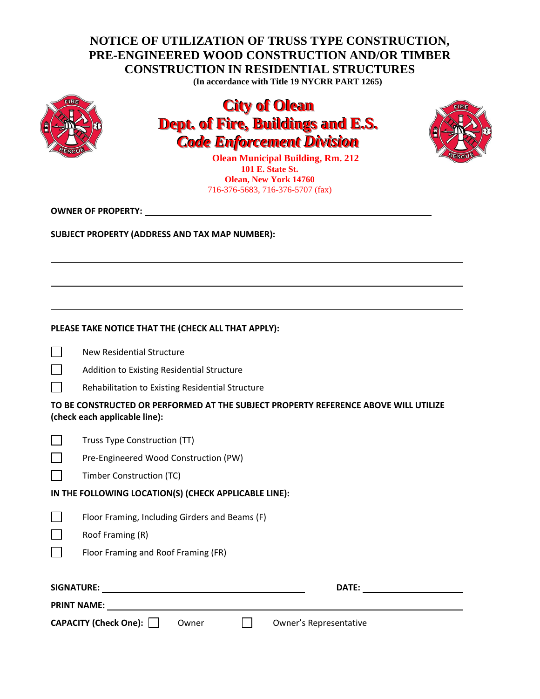## **NOTICE OF UTILIZATION OF TRUSS TYPE CONSTRUCTION, PRE-ENGINEERED WOOD CONSTRUCTION AND/OR TIMBER CONSTRUCTION IN RESIDENTIAL STRUCTURES**

**(In accordance with Title 19 NYCRR PART 1265)**



# **City of Olean Dept. of Fire, Buildings and E.S.** *Code Enforcement Division*



**Olean Municipal Building, Rm. 212 101 E. State St. Olean, New York 14760** 716-376-5683, 716-376-5707 (fax)

**OWNER OF PROPERTY:** 

**SUBJECT PROPERTY (ADDRESS AND TAX MAP NUMBER):**

| PLEASE TAKE NOTICE THAT THE (CHECK ALL THAT APPLY): |  |
|-----------------------------------------------------|--|
|-----------------------------------------------------|--|

 $\Box$ New Residential Structure

| $\Box$ |  |  |  | Addition to Existing Residential Structure |  |
|--------|--|--|--|--------------------------------------------|--|
|--------|--|--|--|--------------------------------------------|--|

 $\Box$ Rehabilitation to Existing Residential Structure

**TO BE CONSTRUCTED OR PERFORMED AT THE SUBJECT PROPERTY REFERENCE ABOVE WILL UTILIZE (check each applicable line):**

| $\Box$ | Truss Type Construction (TT) |  |
|--------|------------------------------|--|
|        |                              |  |

| $\Box$ | Pre-Engineered Wood Construction (PW) |  |
|--------|---------------------------------------|--|
|        |                                       |  |

### **IN THE FOLLOWING LOCATION(S) (CHECK APPLICABLE LINE):**

Roof Framing (R)  $\Box$ 

Floor Framing and Roof Framing (FR)

| SIGNATURE:                   |       | <b>DATE:</b>           |
|------------------------------|-------|------------------------|
| <b>PRINT NAME:</b>           |       |                        |
| <b>CAPACITY (Check One):</b> | Owner | Owner's Representative |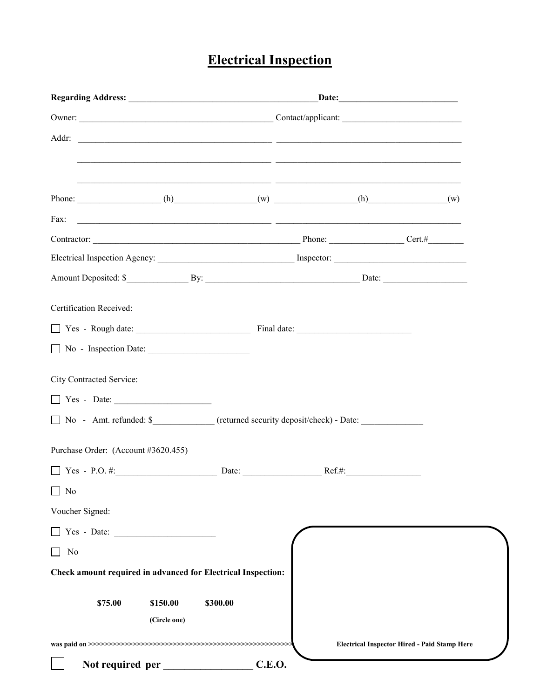# **Electrical Inspection**

|                                                                                                                              |               | $\text{Date:}$                                      |
|------------------------------------------------------------------------------------------------------------------------------|---------------|-----------------------------------------------------|
|                                                                                                                              |               |                                                     |
|                                                                                                                              |               |                                                     |
|                                                                                                                              |               |                                                     |
| <u> 1999 - 1999 - 1999 - 1999 - 1999 - 1999 - 1999 - 1999 - 1999 - 1999 - 1999 - 1999 - 1999 - 1999 - 1999 - 199</u>         |               |                                                     |
| Fax:<br><u> 2000 - 2000 - 2000 - 2000 - 2000 - 2000 - 2000 - 2000 - 2000 - 2000 - 2000 - 2000 - 2000 - 2000 - 2000 - 200</u> |               |                                                     |
| Contractor: Contractor: Contractor: Contractor: Contractor: Cert.#                                                           |               |                                                     |
|                                                                                                                              |               |                                                     |
|                                                                                                                              |               |                                                     |
| Certification Received:                                                                                                      |               |                                                     |
|                                                                                                                              |               |                                                     |
| No - Inspection Date:<br>$\blacksquare$                                                                                      |               |                                                     |
| City Contracted Service:                                                                                                     |               |                                                     |
| $\Box$ Yes - Date:                                                                                                           |               |                                                     |
| No - Amt. refunded: \$________________ (returned security deposit/check) - Date: ___________________                         |               |                                                     |
| Purchase Order: (Account #3620.455)                                                                                          |               |                                                     |
|                                                                                                                              |               |                                                     |
| $\hfill\Box$<br>No                                                                                                           |               |                                                     |
| Voucher Signed:                                                                                                              |               |                                                     |
| Yes - Date:                                                                                                                  |               |                                                     |
| No                                                                                                                           |               |                                                     |
| Check amount required in advanced for Electrical Inspection:                                                                 |               |                                                     |
|                                                                                                                              |               |                                                     |
| \$300.00<br>\$75.00<br>\$150.00                                                                                              |               |                                                     |
| (Circle one)                                                                                                                 |               |                                                     |
|                                                                                                                              |               | <b>Electrical Inspector Hired - Paid Stamp Here</b> |
| Not required per                                                                                                             | <b>C.E.O.</b> |                                                     |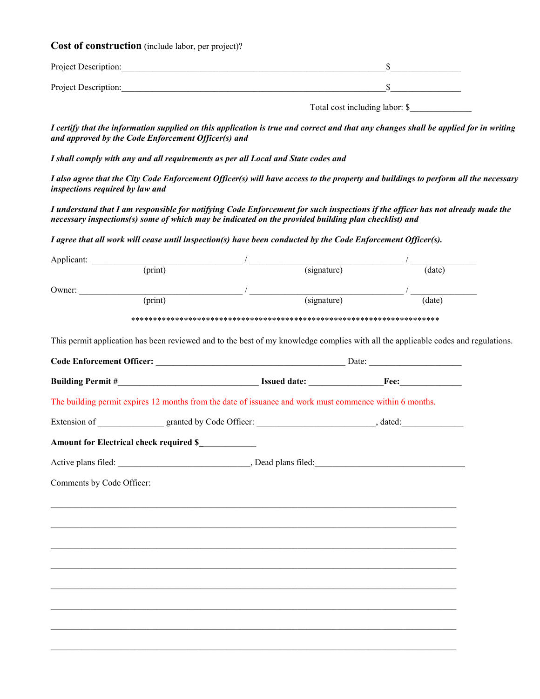**Cost of construction** (include labor, per project)?

| Project Description: |  |
|----------------------|--|
| Project Description: |  |

Total cost including labor: \$

*I certify that the information supplied on this application is true and correct and that any changes shall be applied for in writing and approved by the Code Enforcement Officer(s) and* 

*I shall comply with any and all requirements as per all Local and State codes and* 

*I also agree that the City Code Enforcement Officer(s) will have access to the property and buildings to perform all the necessary inspections required by law and* 

*I understand that I am responsible for notifying Code Enforcement for such inspections if the officer has not already made the necessary inspections(s) some of which may be indicated on the provided building plan checklist) and* 

*I agree that all work will cease until inspection(s) have been conducted by the Code Enforcement Officer(s).* 

| Applicant:                                                                                                                        |             |                                                                        |  |
|-----------------------------------------------------------------------------------------------------------------------------------|-------------|------------------------------------------------------------------------|--|
| $\overline{\text{(print)}}$                                                                                                       | (signature) | $\overline{(date)}$                                                    |  |
| Owner: (print) (signature)                                                                                                        |             | <u> 1989 - Johann Barnett, fransk politiker</u><br>$\overline{(date)}$ |  |
|                                                                                                                                   |             |                                                                        |  |
|                                                                                                                                   |             |                                                                        |  |
| This permit application has been reviewed and to the best of my knowledge complies with all the applicable codes and regulations. |             |                                                                        |  |
|                                                                                                                                   |             |                                                                        |  |
|                                                                                                                                   |             |                                                                        |  |
| The building permit expires 12 months from the date of issuance and work must commence within 6 months.                           |             |                                                                        |  |
|                                                                                                                                   |             |                                                                        |  |
| Amount for Electrical check required \$                                                                                           |             |                                                                        |  |
|                                                                                                                                   |             |                                                                        |  |
| Comments by Code Officer:                                                                                                         |             |                                                                        |  |
|                                                                                                                                   |             |                                                                        |  |
| ,我们也不能在这里的时候,我们也不能在这里的时候,我们也不能会在这里的时候,我们也不能会在这里的时候,我们也不能会在这里的时候,我们也不能会在这里的时候,我们也不                                                 |             |                                                                        |  |
|                                                                                                                                   |             |                                                                        |  |
|                                                                                                                                   |             |                                                                        |  |
|                                                                                                                                   |             |                                                                        |  |
|                                                                                                                                   |             |                                                                        |  |
|                                                                                                                                   |             |                                                                        |  |
|                                                                                                                                   |             |                                                                        |  |
|                                                                                                                                   |             |                                                                        |  |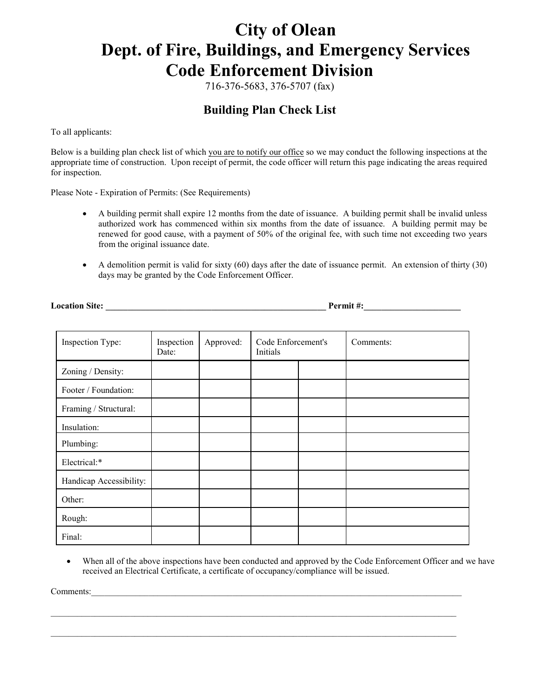# **City of Olean Dept. of Fire, Buildings, and Emergency Services Code Enforcement Division**

716-376-5683, 376-5707 (fax)

# **Building Plan Check List**

To all applicants:

Below is a building plan check list of which you are to notify our office so we may conduct the following inspections at the appropriate time of construction. Upon receipt of permit, the code officer will return this page indicating the areas required for inspection.

Please Note - Expiration of Permits: (See Requirements)

- A building permit shall expire 12 months from the date of issuance. A building permit shall be invalid unless authorized work has commenced within six months from the date of issuance. A building permit may be renewed for good cause, with a payment of 50% of the original fee, with such time not exceeding two years from the original issuance date.
- A demolition permit is valid for sixty (60) days after the date of issuance permit. An extension of thirty (30) days may be granted by the Code Enforcement Officer.

**Location Site:**  $\blacksquare$ 

| Inspection Type:        | Inspection<br>Date: | Approved: | Code Enforcement's<br>Initials |  | Comments: |
|-------------------------|---------------------|-----------|--------------------------------|--|-----------|
| Zoning / Density:       |                     |           |                                |  |           |
| Footer / Foundation:    |                     |           |                                |  |           |
| Framing / Structural:   |                     |           |                                |  |           |
| Insulation:             |                     |           |                                |  |           |
| Plumbing:               |                     |           |                                |  |           |
| Electrical:*            |                     |           |                                |  |           |
| Handicap Accessibility: |                     |           |                                |  |           |
| Other:                  |                     |           |                                |  |           |
| Rough:                  |                     |           |                                |  |           |
| Final:                  |                     |           |                                |  |           |

• When all of the above inspections have been conducted and approved by the Code Enforcement Officer and we have received an Electrical Certificate, a certificate of occupancy/compliance will be issued.

\_\_\_\_\_\_\_\_\_\_\_\_\_\_\_\_\_\_\_\_\_\_\_\_\_\_\_\_\_\_\_\_\_\_\_\_\_\_\_\_\_\_\_\_\_\_\_\_\_\_\_\_\_\_\_\_\_\_\_\_\_\_\_\_\_\_\_\_\_\_\_\_\_\_\_\_\_\_\_\_\_\_\_\_\_\_\_\_\_\_\_\_

\_\_\_\_\_\_\_\_\_\_\_\_\_\_\_\_\_\_\_\_\_\_\_\_\_\_\_\_\_\_\_\_\_\_\_\_\_\_\_\_\_\_\_\_\_\_\_\_\_\_\_\_\_\_\_\_\_\_\_\_\_\_\_\_\_\_\_\_\_\_\_\_\_\_\_\_\_\_\_\_\_\_\_\_\_\_\_\_\_\_\_\_

Comments: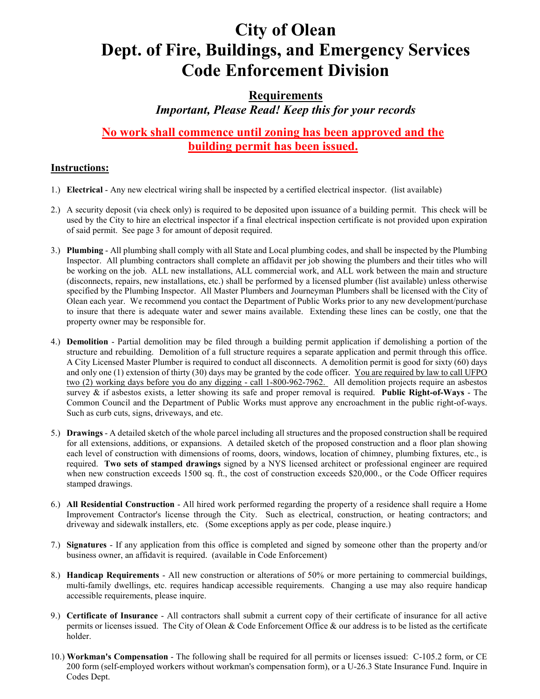# **City of Olean Dept. of Fire, Buildings, and Emergency Services Code Enforcement Division**

### **Requirements**

*Important, Please Read! Keep this for your records*

### **No work shall commence until zoning has been approved and the building permit has been issued.**

### **Instructions:**

- 1.) **Electrical**  Any new electrical wiring shall be inspected by a certified electrical inspector. (list available)
- 2.) A security deposit (via check only) is required to be deposited upon issuance of a building permit. This check will be used by the City to hire an electrical inspector if a final electrical inspection certificate is not provided upon expiration of said permit. See page 3 for amount of deposit required.
- 3.) **Plumbing** All plumbing shall comply with all State and Local plumbing codes, and shall be inspected by the Plumbing Inspector. All plumbing contractors shall complete an affidavit per job showing the plumbers and their titles who will be working on the job. ALL new installations, ALL commercial work, and ALL work between the main and structure (disconnects, repairs, new installations, etc.) shall be performed by a licensed plumber (list available) unless otherwise specified by the Plumbing Inspector. All Master Plumbers and Journeyman Plumbers shall be licensed with the City of Olean each year. We recommend you contact the Department of Public Works prior to any new development/purchase to insure that there is adequate water and sewer mains available. Extending these lines can be costly, one that the property owner may be responsible for.
- 4.) **Demolition** Partial demolition may be filed through a building permit application if demolishing a portion of the structure and rebuilding. Demolition of a full structure requires a separate application and permit through this office. A City Licensed Master Plumber is required to conduct all disconnects. A demolition permit is good for sixty (60) days and only one (1) extension of thirty (30) days may be granted by the code officer. You are required by law to call UFPO two (2) working days before you do any digging - call 1-800-962-7962. All demolition projects require an asbestos survey & if asbestos exists, a letter showing its safe and proper removal is required. **Public Right-of-Ways** - The Common Council and the Department of Public Works must approve any encroachment in the public right-of-ways. Such as curb cuts, signs, driveways, and etc.
- 5.) **Drawings** A detailed sketch of the whole parcel including all structures and the proposed construction shall be required for all extensions, additions, or expansions. A detailed sketch of the proposed construction and a floor plan showing each level of construction with dimensions of rooms, doors, windows, location of chimney, plumbing fixtures, etc., is required. **Two sets of stamped drawings** signed by a NYS licensed architect or professional engineer are required when new construction exceeds 1500 sq. ft., the cost of construction exceeds \$20,000., or the Code Officer requires stamped drawings.
- 6.) **All Residential Construction** All hired work performed regarding the property of a residence shall require a Home Improvement Contractor's license through the City. Such as electrical, construction, or heating contractors; and driveway and sidewalk installers, etc. (Some exceptions apply as per code, please inquire.)
- 7.) **Signatures** If any application from this office is completed and signed by someone other than the property and/or business owner, an affidavit is required. (available in Code Enforcement)
- 8.) **Handicap Requirements** All new construction or alterations of 50% or more pertaining to commercial buildings, multi-family dwellings, etc. requires handicap accessible requirements. Changing a use may also require handicap accessible requirements, please inquire.
- 9.) **Certificate of Insurance** All contractors shall submit a current copy of their certificate of insurance for all active permits or licenses issued. The City of Olean & Code Enforcement Office & our address is to be listed as the certificate holder.
- 10.) **Workman's Compensation** The following shall be required for all permits or licenses issued: C-105.2 form, or CE 200 form (self-employed workers without workman's compensation form), or a U-26.3 State Insurance Fund. Inquire in Codes Dept.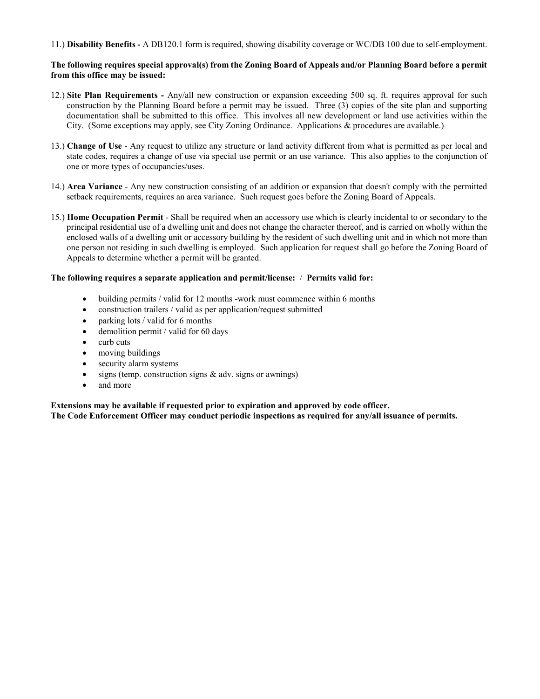11.) **Disability Benefits -** A DB120.1 form is required, showing disability coverage or WC/DB 100 due to self-employment.

#### **The following requires special approval(s) from the Zoning Board of Appeals and/or Planning Board before a permit from this office may be issued:**

- 12.) **Site Plan Requirements -** Any/all new construction or expansion exceeding 500 sq. ft. requires approval for such construction by the Planning Board before a permit may be issued. Three (3) copies of the site plan and supporting documentation shall be submitted to this office. This involves all new development or land use activities within the City. (Some exceptions may apply, see City Zoning Ordinance. Applications & procedures are available.)
- 13.) **Change of Use** Any request to utilize any structure or land activity different from what is permitted as per local and state codes, requires a change of use via special use permit or an use variance. This also applies to the conjunction of one or more types of occupancies/uses.
- 14.) **Area Variance** Any new construction consisting of an addition or expansion that doesn't comply with the permitted setback requirements, requires an area variance. Such request goes before the Zoning Board of Appeals.
- 15.) **Home Occupation Permit** Shall be required when an accessory use which is clearly incidental to or secondary to the principal residential use of a dwelling unit and does not change the character thereof, and is carried on wholly within the enclosed walls of a dwelling unit or accessory building by the resident of such dwelling unit and in which not more than one person not residing in such dwelling is employed. Such application for request shall go before the Zoning Board of Appeals to determine whether a permit will be granted.

#### **The following requires a separate application and permit/license:** / **Permits valid for:**

- building permits / valid for 12 months -work must commence within 6 months
- construction trailers / valid as per application/request submitted
- parking lots / valid for 6 months
- $\bullet$  demolition permit / valid for 60 days
- curb cuts
- moving buildings
- security alarm systems
- signs (temp. construction signs & adv. signs or awnings)
- and more

### **Extensions may be available if requested prior to expiration and approved by code officer.**

**The Code Enforcement Officer may conduct periodic inspections as required for any/all issuance of permits.**